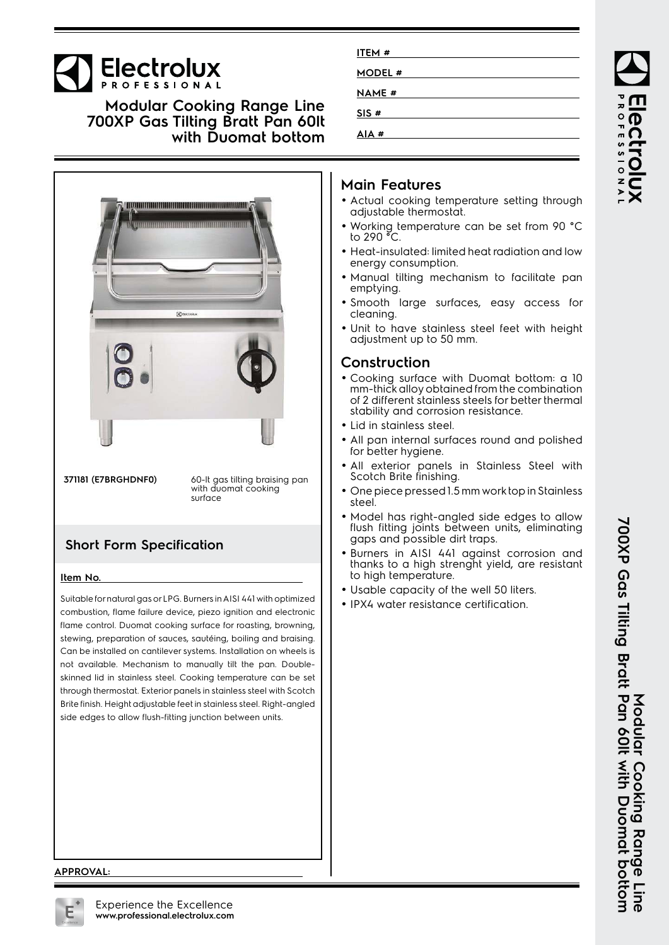# **Electrolux**

**Modular Cooking Range Line 700XP Gas Tilting Bratt Pan 60lt with Duomat bottom**



**371181 (E7BRGHDNF0)** 60-lt gas tilting braising pan with duomat cooking surface

## **Short Form Specification**

#### **Item No.**

Suitable for natural gas or LPG. Burners in AISI 441 with optimized combustion, flame failure device, piezo ignition and electronic flame control. Duomat cooking surface for roasting, browning, stewing, preparation of sauces, sautéing, boiling and braising. Can be installed on cantilever systems. Installation on wheels is not available. Mechanism to manually tilt the pan. Doubleskinned lid in stainless steel. Cooking temperature can be set through thermostat. Exterior panels in stainless steel with Scotch Brite finish. Height adjustable feet in stainless steel. Right-angled side edges to allow flush-fitting junction between units.

| ITEM#        |  |  |
|--------------|--|--|
| MODEL #      |  |  |
| <b>NAME#</b> |  |  |
| SIS#         |  |  |
| AIA#         |  |  |

#### **Main Features**

- Actual cooking temperature setting through adjustable thermostat.
- Working temperature can be set from 90 °C to 290 °C.
- Heat-insulated: limited heat radiation and low energy consumption.
- Manual tilting mechanism to facilitate pan emptying.
- Smooth large surfaces, easy access for cleaning.
- Unit to have stainless steel feet with height adjustment up to 50 mm.

#### **Construction**

- Cooking surface with Duomat bottom: a 10 mm-thick alloy obtained from the combination of 2 different stainless steels for better thermal stability and corrosion resistance.
- Lid in stainless steel.
- • All pan internal surfaces round and polished for better hygiene.
- • All exterior panels in Stainless Steel with Scotch Brite finishing.
- • One piece pressed 1.5 mm work top in Stainless steel.
- Model has right-angled side edges to allow flush fitting joints between units, eliminating gaps and possible dirt traps.
- Burners in AISI 441 against corrosion and thanks to a high strenght yield, are resistant to high temperature.
- Usable capacity of the well 50 liters.
- IPX4 water resistance certification.

PROFESSIONA

#### **APPROVAL:**

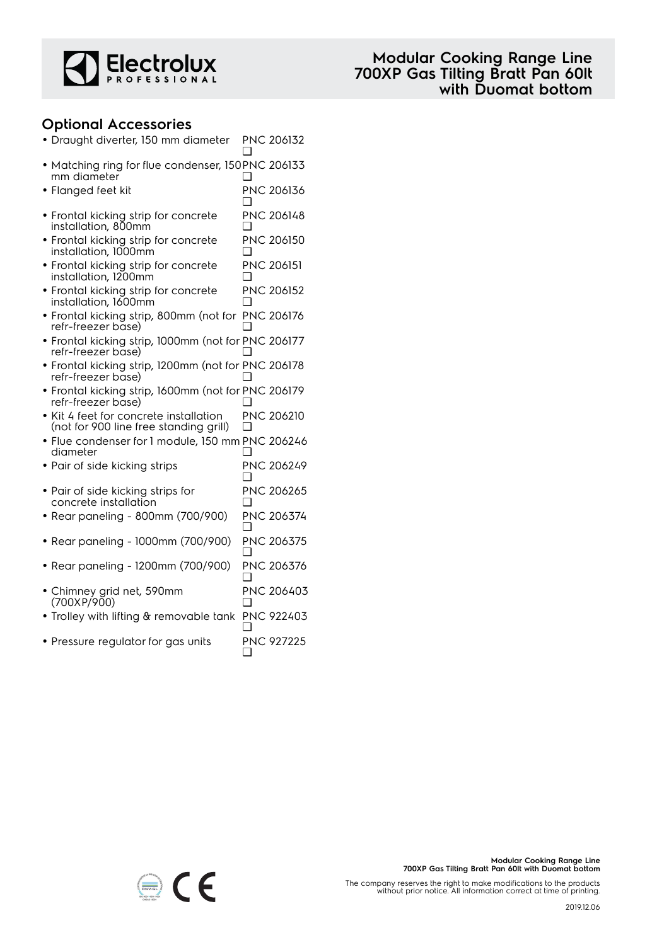

#### **Optional Accessories**

| · Draught diverter, 150 mm diameter                                              |     | PNC 206132        |
|----------------------------------------------------------------------------------|-----|-------------------|
| • Matching ring for flue condenser, 150PNC 206133<br>mm diameter                 |     |                   |
| • Flanged feet kit                                                               |     | PNC 206136        |
| • Frontal kicking strip for concrete<br>installation, 800mm                      |     | PNC 206148        |
| • Frontal kicking strip for concrete<br>installation, 1000mm                     |     | PNC 206150        |
| • Frontal kicking strip for concrete<br>installation, 1200mm                     | □   | <b>PNC 206151</b> |
| • Frontal kicking strip for concrete<br>installation, 1600mm                     |     | PNC 206152        |
| • Frontal kicking strip, 800mm (not for PNC 206176<br>refr-freezer base)         |     |                   |
| • Frontal kicking strip, 1000mm (not for PNC 206177<br>refr-freezer base)        |     |                   |
| · Frontal kicking strip, 1200mm (not for PNC 206178<br>refr-freezer base)        |     |                   |
| · Frontal kicking strip, 1600mm (not for PNC 206179<br>refr-freezer base)        |     |                   |
| • Kit 4 feet for concrete installation<br>(not for 900 line free standing grill) | ∣ 1 | PNC 206210        |
| · Flue condenser for 1 module, 150 mm PNC 206246<br>diameter                     |     |                   |
| • Pair of side kicking strips                                                    |     | PNC 206249        |
| • Pair of side kicking strips for<br>concrete installation                       |     | PNC 206265        |
| • Rear paneling - 800mm (700/900)                                                | ∩   | PNC 206374        |
| • Rear paneling - 1000mm (700/900)                                               |     | PNC 206375        |
| Rear paneling - 1200mm (700/900)                                                 |     | PNC 206376        |
| • Chimney grid net, 590mm<br>(700XP/900)                                         |     | PNC 206403        |
| • Trolley with lifting & removable tank                                          |     | PNC 922403        |
| • Pressure regulator for gas units                                               |     | <b>PNC 927225</b> |



The company reserves the right to make modifications to the products without prior notice. All information correct at time of printing.